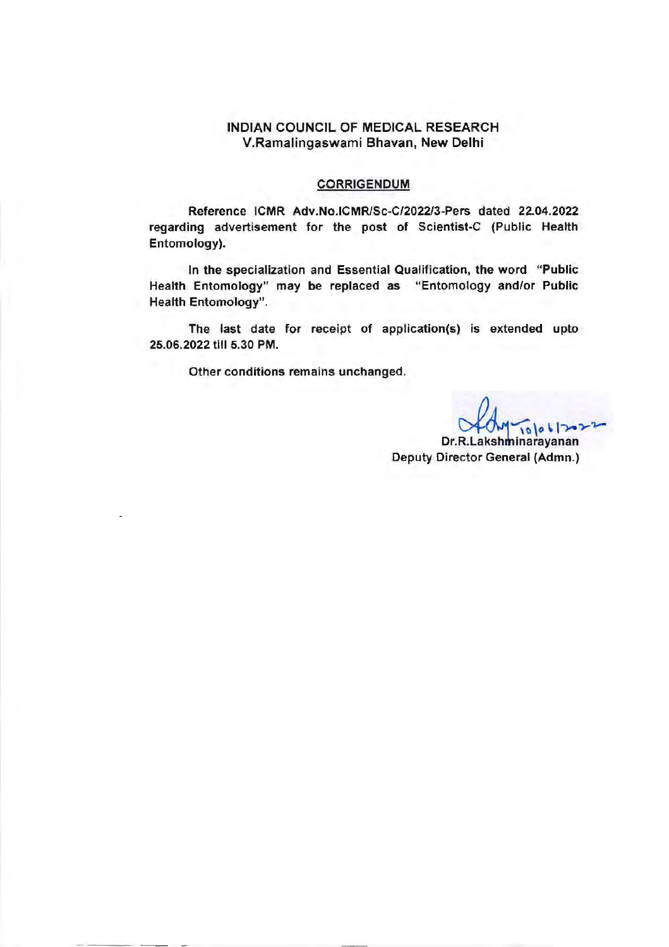## **INDIAN** COUNCIL OF MEDICAL RESEARCH V.Ramalingaswami Bhavan, New Delhi

#### CORRIGENDUM

Reference **ICMR** Adv .No.lCMR/Sc-C/2022/3-Pers dated 22.04.2022 regarding advertisement for the post of Scientist-C (Public Health Entomology).

In the specialization and Essential Qualification, the word "Public Health Entomology" may be replaced as "Entomology and/or Public Health Entomology".

The last date for receipt of application(s) is extended upto 25.06.2022 till 5.30 PM.

Other conditions remains unchanged.

 $10001702$ 

Dr.R.Lakshminarayanan Deputy Director General (Admn.)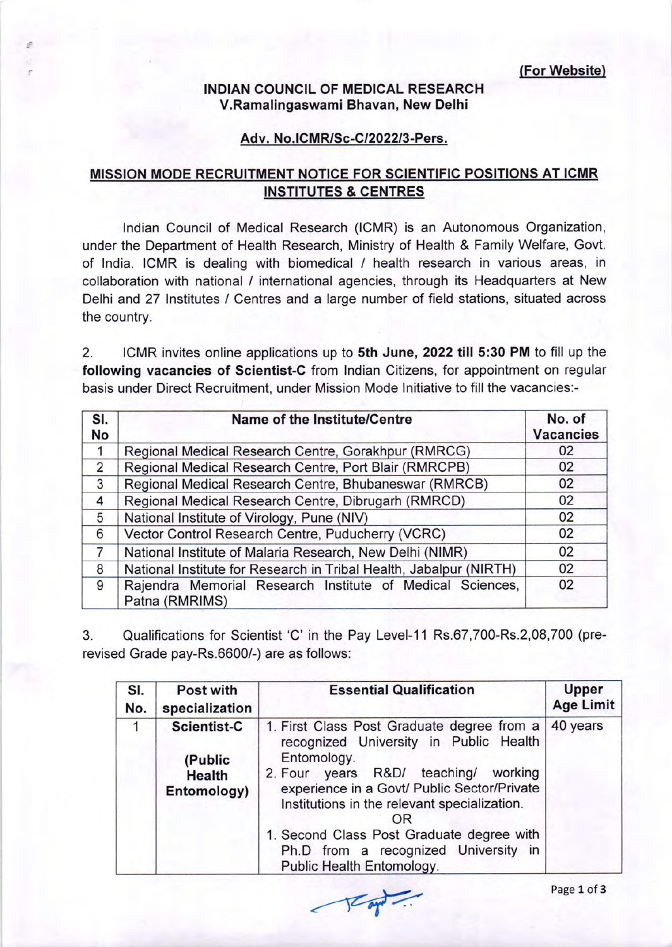(For Website)

## INDIAN COUNGIL OF MEDIGAL RESEARCH V.Ramalingaswami Bhavan, New Delhi

## Adv. No.ICMR/Sc-C/2022/3-Pers.

# MISSION MODE RECRUITMENT NOTICE FOR SCIENTIFIC POSITIONS AT ICMR INSTITUTES & CENTRES

lndian Council of Medical Research (ICMR) is an Autonomous Organization, under the Department of Health Research, Ministry of Health & Family Welfare, Govt. of lndia. ICMR is dealing with biomedical / health research in various areas, in collaboration with national / internationa! agencies, through its Headquarters at New Delhi and 27 lnstitutes / Centres and a large number of field stations, situated across the country.

2. ICMR invites online applications up to Sth June,2022 till 5:30 PM to fill up the following vacancies of Scientist-C from lndian Citizens, for appointment on regular basis under Direct Recruitment, under Mission Mode lnitiative to fill the vacancies:-

| SI.<br>No | <b>Name of the Institute/Centre</b>                                         | No. of<br><b>Vacancies</b> |
|-----------|-----------------------------------------------------------------------------|----------------------------|
| 1         | Regional Medical Research Centre, Gorakhpur (RMRCG)                         | 02                         |
| 2         | Regional Medical Research Centre, Port Blair (RMRCPB)                       | 02                         |
| 3         | Regional Medical Research Centre, Bhubaneswar (RMRCB)                       | 02                         |
| 4         | Regional Medical Research Centre, Dibrugarh (RMRCD)                         | 02                         |
| 5         | National Institute of Virology, Pune (NIV)                                  | 02                         |
| 6         | Vector Control Research Centre, Puducherry (VCRC)<br>02                     |                            |
| 7         | National Institute of Malaria Research, New Delhi (NIMR)                    | 02                         |
| 8         | National Institute for Research in Tribal Health, Jabalpur (NIRTH)          | 02                         |
| 9         | Rajendra Memorial Research Institute of Medical Sciences,<br>Patna (RMRIMS) | 02                         |

3. Qualifications for Scientist 'C' in the Pay Level-11 Rs.67,700-Rs.2,08,700 (prerevised Grade pay-Rs.6600/-) are as follows.

| SI. | Post with                                                     | <b>Essential Qualification</b>                                                                                                                                                                                                                                                                                                                                        | <b>Upper</b>     |
|-----|---------------------------------------------------------------|-----------------------------------------------------------------------------------------------------------------------------------------------------------------------------------------------------------------------------------------------------------------------------------------------------------------------------------------------------------------------|------------------|
| No. | specialization                                                |                                                                                                                                                                                                                                                                                                                                                                       | <b>Age Limit</b> |
|     | <b>Scientist-C</b><br>(Public<br><b>Health</b><br>Entomology) | 1. First Class Post Graduate degree from a<br>recognized University in Public Health<br>Entomology.<br>2. Four years R&D/ teaching/<br>working<br>experience in a Govt/ Public Sector/Private<br>Institutions in the relevant specialization.<br>OR<br>1. Second Class Post Graduate degree with<br>Ph.D from a recognized University in<br>Public Health Entomology. | 40 years         |

 $\sqrt{2\pi}$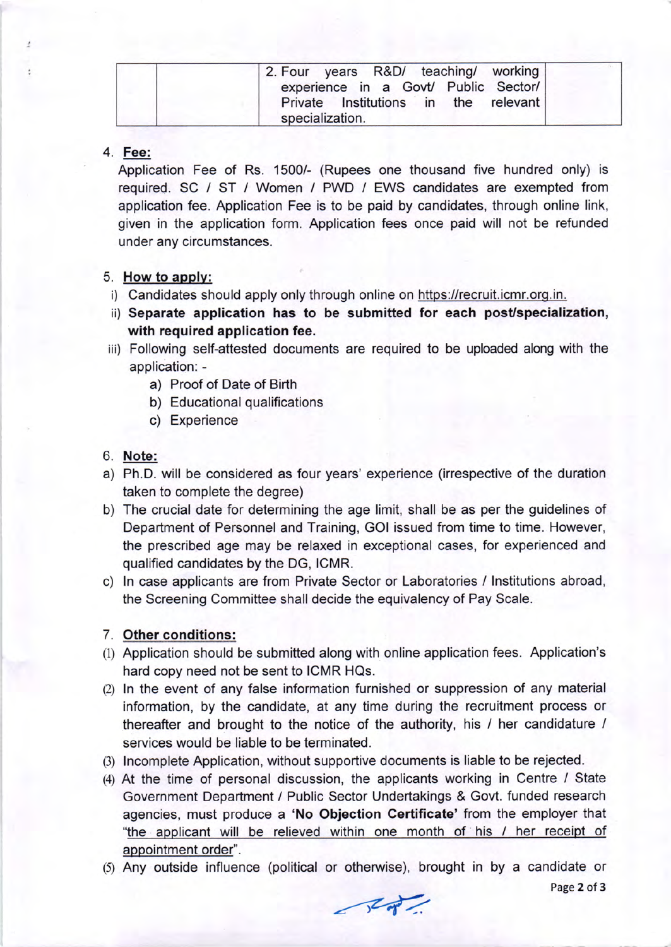| 2. Four years R&D/ teaching/ working |
|--------------------------------------|
| experience in a Govt/ Public Sector/ |
| Private Institutions in the relevant |
| specialization.                      |

#### 4. Fee:

Application Fee of Rs. 1500/- (Rupees one thousand five hundred only) is required. SC / ST / Women / PWD / EWS candidates are exempted from application fee. Application Fee is to be paid by candidates, through online link, given in the application form. Application fees once paid will not be refunded under any circumstances.

### 5. How to applv:

- i) Candidates should apply only through online on https://recruit.icmr.org.in.
- ii) Separate application has to be submitted for each post/specialization, with required application fee.
- iii) Following self-attested documents are required to be uploaded along with the application:
	- a) Proof of Date of Birth
	- b) Educational qualifications
	- c) Experience

## 6. Note:

- a) Ph.D. will be considered as four years' experience (irrespective of the duration taken to complete the degree)
- b) The crucial date for determining the age limit, shall be as per the guidelines of Department of Personnel and Training, GOI issued from time to time. However, the prescribed age may be relaxed in exceptional cases, for experienced and qualified candidates by the DG, ICMR.
- c) ln case applicants are from Private Sector or Laboratories / lnstitutions abroad, the Screening Committee shall decide the equivalency of Pay Scale.

## 7. Other conditions:

- (l) Application should be submitted along with online application fees. Application's hard copy need not be sent to ICMR HQs.
- (2) In the event of any false information furnished or suppression of any material information, by the candidate, at any time during the recruitment process or thereafter and brought to the notice of the authority, his / her candidature / services would be liable to be terminated.
- (3) Incomplete Application, without supportive documents is liable to be rejected.
- (4) At the time of personal discussion, the applicants working in Centre / State Government Department / Public Sector Undertakings & Govt. funded research agencies, must produce a 'No Objection Certificate' from the employer that "the applicant will be relieved within one month of his / her receipt of appointment order".
- (5) Any outside influence (political or otherwise), brought in by a candidate or

Page 2 of 3

 $f(x) = f(x)$